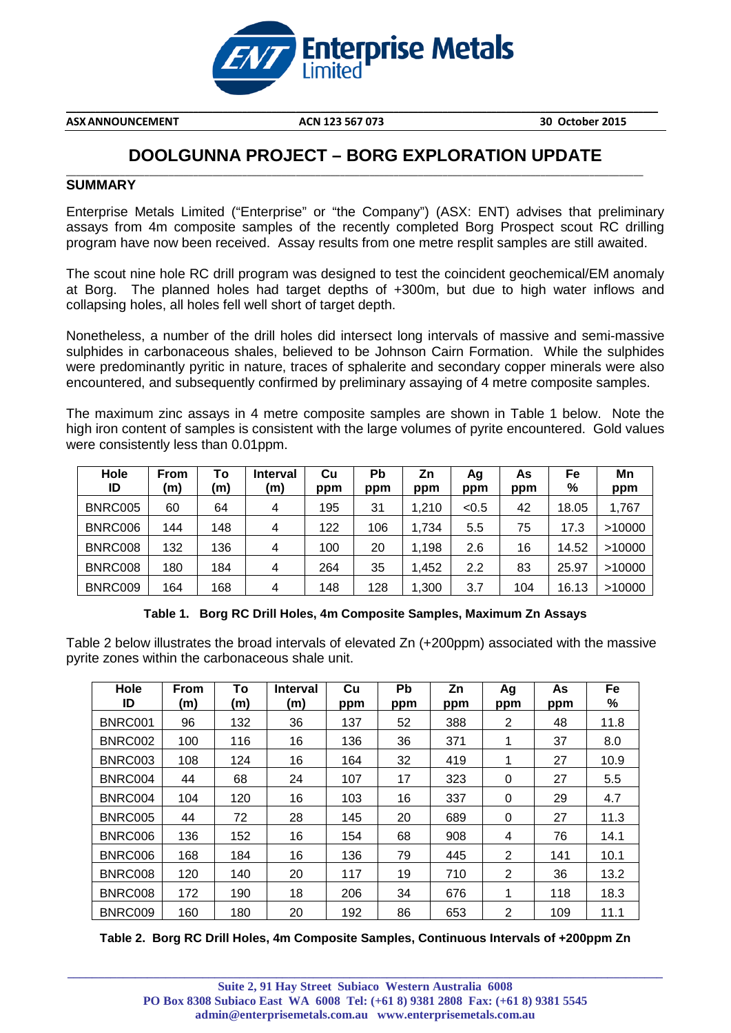

**ASXANNOUNCEMENT ACN 123 567 073 30 October 2015**

**\_\_\_\_\_\_\_\_\_\_\_\_\_\_\_\_\_\_\_\_\_\_\_\_\_\_\_\_\_\_\_\_\_\_\_\_\_\_\_\_\_\_\_\_\_\_\_\_\_\_\_\_\_\_\_\_\_\_\_\_\_\_\_\_\_\_\_\_\_\_\_\_\_\_\_\_\_\_\_\_\_\_\_\_\_\_\_\_\_\_\_\_\_\_\_\_\_\_\_\_\_\_\_\_\_\_\_\_\_\_\_\_\_\_\_\_\_\_\_\_\_**

# **DOOLGUNNA PROJECT – BORG EXPLORATION UPDATE**

#### \_\_\_\_\_\_\_\_\_\_\_\_\_\_\_\_\_\_\_\_\_\_\_\_\_\_\_\_\_\_\_\_\_\_\_\_\_\_\_\_\_\_\_\_\_\_\_\_\_\_\_\_\_\_\_\_\_\_\_\_\_\_\_\_\_\_\_\_\_\_\_\_\_\_\_\_\_\_\_\_\_\_\_\_\_\_\_\_\_\_\_\_\_\_\_\_\_\_\_\_\_\_\_\_\_\_\_\_\_\_\_\_\_\_\_\_\_\_ **SUMMARY**

Enterprise Metals Limited ("Enterprise" or "the Company") (ASX: ENT) advises that preliminary assays from 4m composite samples of the recently completed Borg Prospect scout RC drilling program have now been received. Assay results from one metre resplit samples are still awaited.

The scout nine hole RC drill program was designed to test the coincident geochemical/EM anomaly at Borg. The planned holes had target depths of +300m, but due to high water inflows and collapsing holes, all holes fell well short of target depth.

Nonetheless, a number of the drill holes did intersect long intervals of massive and semi-massive sulphides in carbonaceous shales, believed to be Johnson Cairn Formation. While the sulphides were predominantly pyritic in nature, traces of sphalerite and secondary copper minerals were also encountered, and subsequently confirmed by preliminary assaying of 4 metre composite samples.

The maximum zinc assays in 4 metre composite samples are shown in Table 1 below. Note the high iron content of samples is consistent with the large volumes of pyrite encountered. Gold values were consistently less than 0.01ppm.

| Hole<br>ID | From<br>(m) | Т٥<br>(m) | <b>Interval</b><br>(m) | Cu<br>ppm | Pb<br>ppm | Ζn<br>ppm | Ag<br>ppm | As<br>ppm | Fe<br>% | Mn<br>ppm |
|------------|-------------|-----------|------------------------|-----------|-----------|-----------|-----------|-----------|---------|-----------|
| BNRC005    | 60          | 64        | 4                      | 195       | 31        | l.210     | < 0.5     | 42        | 18.05   | 1,767     |
| BNRC006    | 144         | 148       | 4                      | 122       | 106       | 1.734     | 5.5       | 75        | 17.3    | >10000    |
| BNRC008    | 132         | 136       | 4                      | 100       | 20        | 1,198     | 2.6       | 16        | 14.52   | >10000    |
| BNRC008    | 180         | 184       | 4                      | 264       | 35        | .452      | 2.2       | 83        | 25.97   | >10000    |
| BNRC009    | 164         | 168       | 4                      | 148       | 128       | .300      | 3.7       | 104       | 16.13   | >10000    |

**Table 1. Borg RC Drill Holes, 4m Composite Samples, Maximum Zn Assays**

Table 2 below illustrates the broad intervals of elevated Zn (+200ppm) associated with the massive pyrite zones within the carbonaceous shale unit.

| Hole<br>ID     | <b>From</b><br>(m) | Τo<br>(m) | <b>Interval</b><br>(m) | Cu<br>ppm | Pb<br>ppm | Zn<br>ppm | Ag<br>ppm | As<br>ppm | Fe<br>% |
|----------------|--------------------|-----------|------------------------|-----------|-----------|-----------|-----------|-----------|---------|
| BNRC001        | 96                 | 132       | 36                     | 137       | 52        | 388       | 2         | 48        | 11.8    |
| BNRC002        | 100                | 116       | 16                     | 136       | 36        | 371       | 1         | 37        | 8.0     |
| BNRC003        | 108                | 124       | 16                     | 164       | 32        | 419       |           | 27        | 10.9    |
| BNRC004        | 44                 | 68        | 24                     | 107       | 17        | 323       | $\Omega$  | 27        | 5.5     |
| BNRC004        | 104                | 120       | 16                     | 103       | 16        | 337       | 0         | 29        | 4.7     |
| <b>BNRC005</b> | 44                 | 72        | 28                     | 145       | 20        | 689       | 0         | 27        | 11.3    |
| BNRC006        | 136                | 152       | 16                     | 154       | 68        | 908       | 4         | 76        | 14.1    |
| BNRC006        | 168                | 184       | 16                     | 136       | 79        | 445       | 2         | 141       | 10.1    |
| BNRC008        | 120                | 140       | 20                     | 117       | 19        | 710       | 2         | 36        | 13.2    |
| BNRC008        | 172                | 190       | 18                     | 206       | 34        | 676       | 1         | 118       | 18.3    |
| BNRC009        | 160                | 180       | 20                     | 192       | 86        | 653       | 2         | 109       | 11.1    |

**Table 2. Borg RC Drill Holes, 4m Composite Samples, Continuous Intervals of +200ppm Zn**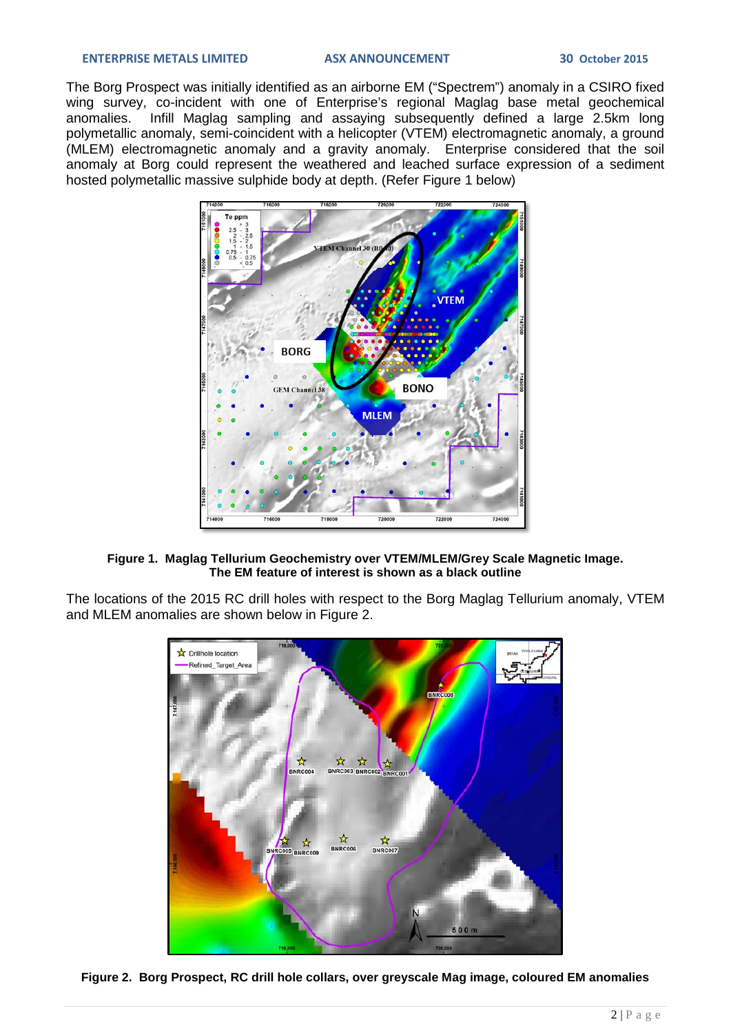#### **ENTERPRISE METALS LIMITED ASX ANNOUNCEMENT 30 October 2015**

The Borg Prospect was initially identified as an airborne EM ("Spectrem") anomaly in a CSIRO fixed wing survey, co-incident with one of Enterprise's regional Maglag base metal geochemical<br>anomalies. Infill Maglag sampling and assaving subsequently defined a large 2.5km long and maginality of the contract of the contract maginal maging subsequently defined a large 2.5km long polymetallic anomaly, semi-coincident with a helicopter (VTEM) electromagnetic anomaly, a ground (MLEM) electromagnetic anomaly and a gravity anomaly. Enterprise considered that the soil anomaly at Borg could represent the weathered and leached surface expression of a sediment hosted polymetallic massive sulphide body at depth. (Refer Figure 1 below)



### **Figure 1. Maglag Tellurium Geochemistry over VTEM/MLEM/Grey Scale Magnetic Image. The EM feature of interest is shown as a black outline**

The locations of the 2015 RC drill holes with respect to the Borg Maglag Tellurium anomaly, VTEM and MLEM anomalies are shown below in Figure 2.



**Figure 2. Borg Prospect, RC drill hole collars, over greyscale Mag image, coloured EM anomalies**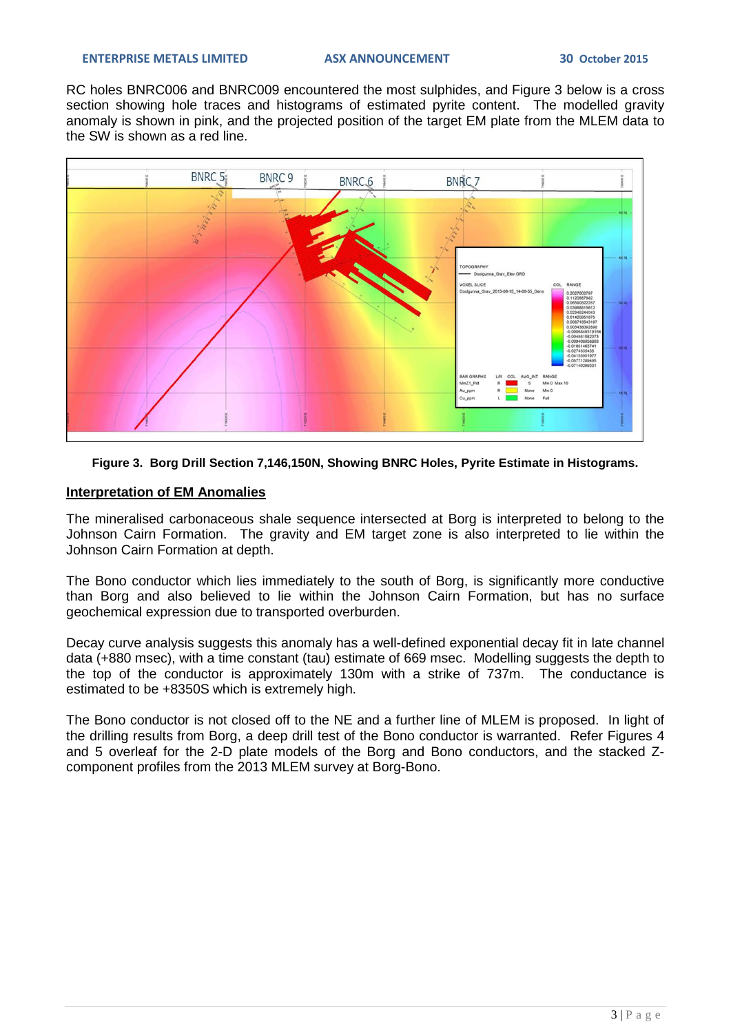RC holes BNRC006 and BNRC009 encountered the most sulphides, and Figure 3 below is a cross section showing hole traces and histograms of estimated pyrite content. The modelled gravity anomaly is shown in pink, and the projected position of the target EM plate from the MLEM data to the SW is shown as a red line.



## **Figure 3. Borg Drill Section 7,146,150N, Showing BNRC Holes, Pyrite Estimate in Histograms.**

## **Interpretation of EM Anomalies**

The mineralised carbonaceous shale sequence intersected at Borg is interpreted to belong to the Johnson Cairn Formation. The gravity and EM target zone is also interpreted to lie within the Johnson Cairn Formation at depth.

The Bono conductor which lies immediately to the south of Borg, is significantly more conductive than Borg and also believed to lie within the Johnson Cairn Formation, but has no surface geochemical expression due to transported overburden.

Decay curve analysis suggests this anomaly has a well-defined exponential decay fit in late channel data (+880 msec), with a time constant (tau) estimate of 669 msec. Modelling suggests the depth to the top of the conductor is approximately 130m with a strike of 737m. The conductance is estimated to be +8350S which is extremely high.

The Bono conductor is not closed off to the NE and a further line of MLEM is proposed. In light of the drilling results from Borg, a deep drill test of the Bono conductor is warranted. Refer Figures 4 and 5 overleaf for the 2-D plate models of the Borg and Bono conductors, and the stacked Zcomponent profiles from the 2013 MLEM survey at Borg-Bono.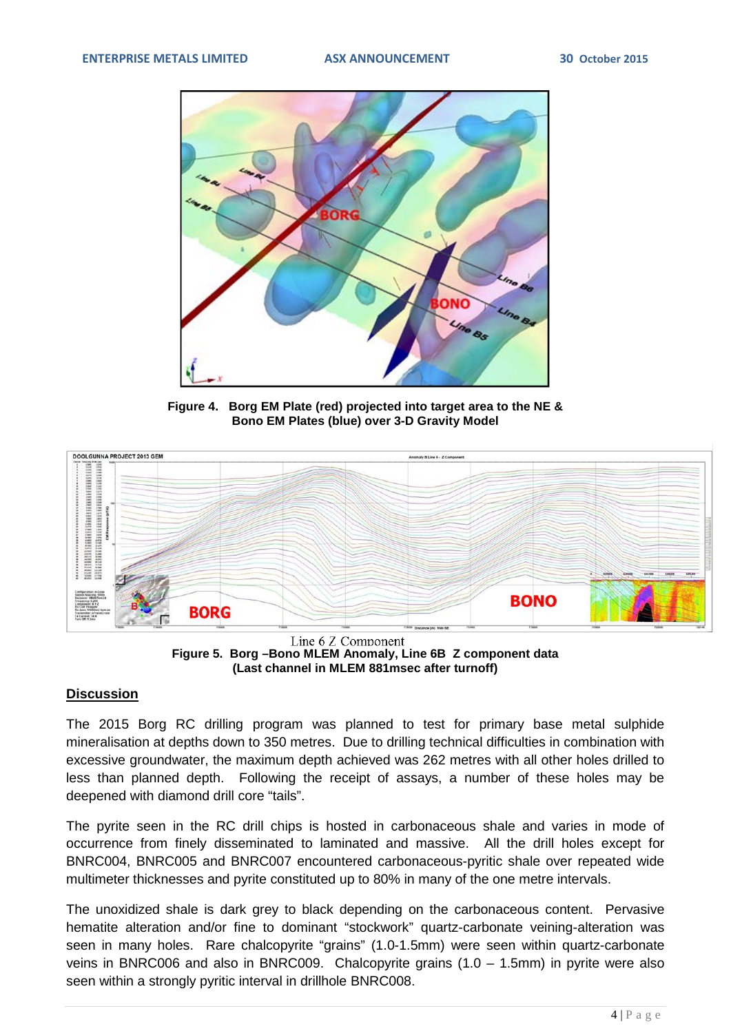

**Figure 4. Borg EM Plate (red) projected into target area to the NE & Bono EM Plates (blue) over 3-D Gravity Model**



Line 6 Z Component **Figure 5. Borg –Bono MLEM Anomaly, Line 6B Z component data (Last channel in MLEM 881msec after turnoff)**

## **Discussion**

The 2015 Borg RC drilling program was planned to test for primary base metal sulphide mineralisation at depths down to 350 metres. Due to drilling technical difficulties in combination with excessive groundwater, the maximum depth achieved was 262 metres with all other holes drilled to less than planned depth. Following the receipt of assays, a number of these holes may be deepened with diamond drill core "tails".

The pyrite seen in the RC drill chips is hosted in carbonaceous shale and varies in mode of occurrence from finely disseminated to laminated and massive. All the drill holes except for BNRC004, BNRC005 and BNRC007 encountered carbonaceous-pyritic shale over repeated wide multimeter thicknesses and pyrite constituted up to 80% in many of the one metre intervals.

The unoxidized shale is dark grey to black depending on the carbonaceous content. Pervasive hematite alteration and/or fine to dominant "stockwork" quartz-carbonate veining-alteration was seen in many holes. Rare chalcopyrite "grains" (1.0-1.5mm) were seen within quartz-carbonate veins in BNRC006 and also in BNRC009. Chalcopyrite grains (1.0 – 1.5mm) in pyrite were also seen within a strongly pyritic interval in drillhole BNRC008.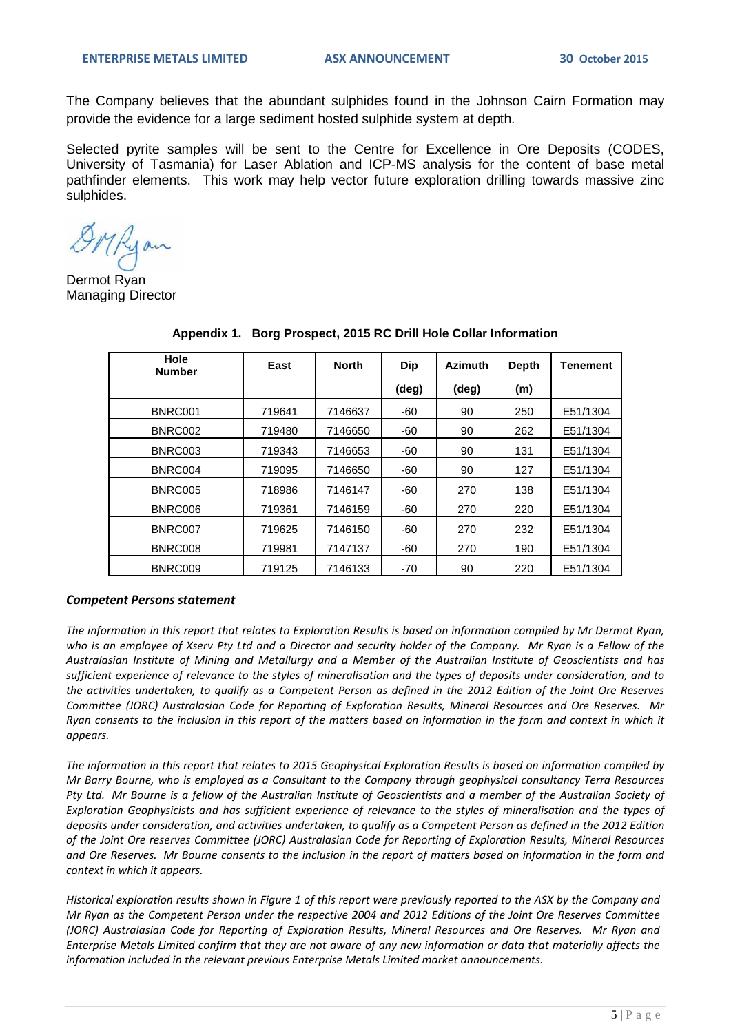The Company believes that the abundant sulphides found in the Johnson Cairn Formation may provide the evidence for a large sediment hosted sulphide system at depth.

Selected pyrite samples will be sent to the Centre for Excellence in Ore Deposits (CODES, University of Tasmania) for Laser Ablation and ICP-MS analysis for the content of base metal pathfinder elements. This work may help vector future exploration drilling towards massive zinc sulphides.

OMRyan

Dermot Ryan Managing Director

| Hole<br><b>Number</b> | East   | <b>North</b> | <b>Dip</b> | <b>Azimuth</b> | <b>Depth</b> | Tenement |
|-----------------------|--------|--------------|------------|----------------|--------------|----------|
|                       |        |              | (deg)      | $(\text{deg})$ | (m)          |          |
| BNRC001               | 719641 | 7146637      | $-60$      | 90             | 250          | E51/1304 |
| BNRC002               | 719480 | 7146650      | $-60$      | 90             | 262          | E51/1304 |
| BNRC003               | 719343 | 7146653      | -60        | 90             | 131          | E51/1304 |
| BNRC004               | 719095 | 7146650      | $-60$      | 90             | 127          | E51/1304 |
| BNRC005               | 718986 | 7146147      | $-60$      | 270            | 138          | E51/1304 |
| BNRC006               | 719361 | 7146159      | $-60$      | 270            | 220          | E51/1304 |
| BNRC007               | 719625 | 7146150      | $-60$      | 270            | 232          | E51/1304 |
| BNRC008               | 719981 | 7147137      | -60        | 270            | 190          | E51/1304 |
| BNRC009               | 719125 | 7146133      | -70        | 90             | 220          | E51/1304 |

**Appendix 1. Borg Prospect, 2015 RC Drill Hole Collar Information**

#### *Competent Persons statement*

*The information in this report that relates to Exploration Results is based on information compiled by Mr Dermot Ryan, who is an employee of Xserv Pty Ltd and a Director and security holder of the Company. Mr Ryan is a Fellow of the Australasian Institute of Mining and Metallurgy and a Member of the Australian Institute of Geoscientists and has sufficient experience of relevance to the styles of mineralisation and the types of deposits under consideration, and to the activities undertaken, to qualify as a Competent Person as defined in the 2012 Edition of the Joint Ore Reserves Committee (JORC) Australasian Code for Reporting of Exploration Results, Mineral Resources and Ore Reserves. Mr Ryan consents to the inclusion in this report of the matters based on information in the form and context in which it appears.*

*The information in this report that relates to 2015 Geophysical Exploration Results is based on information compiled by Mr Barry Bourne, who is employed as a Consultant to the Company through geophysical consultancy Terra Resources Pty Ltd. Mr Bourne is a fellow of the Australian Institute of Geoscientists and a member of the Australian Society of Exploration Geophysicists and has sufficient experience of relevance to the styles of mineralisation and the types of deposits under consideration, and activities undertaken, to qualify as a Competent Person as defined in the 2012 Edition of the Joint Ore reserves Committee (JORC) Australasian Code for Reporting of Exploration Results, Mineral Resources and Ore Reserves. Mr Bourne consents to the inclusion in the report of matters based on information in the form and context in which it appears.*

*Historical exploration results shown in Figure 1 of this report were previously reported to the ASX by the Company and Mr Ryan as the Competent Person under the respective 2004 and 2012 Editions of the Joint Ore Reserves Committee (JORC) Australasian Code for Reporting of Exploration Results, Mineral Resources and Ore Reserves. Mr Ryan and Enterprise Metals Limited confirm that they are not aware of any new information or data that materially affects the information included in the relevant previous Enterprise Metals Limited market announcements.*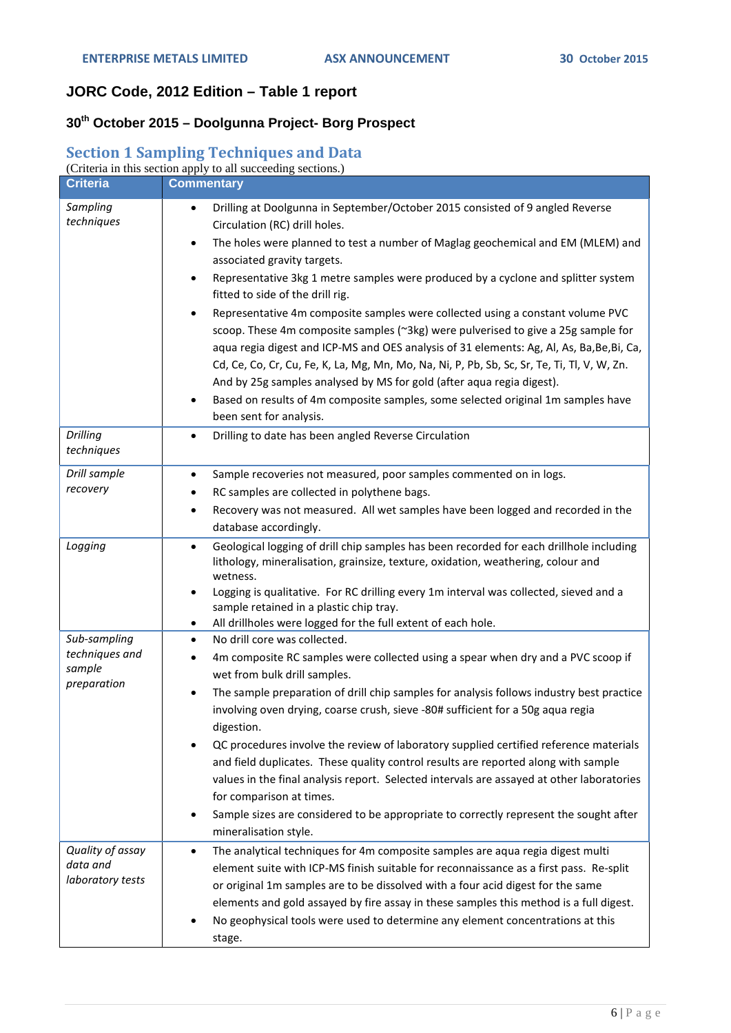# **JORC Code, 2012 Edition – Table 1 report**

# **30th October 2015 – Doolgunna Project- Borg Prospect**

## **Section 1 Sampling Techniques and Data**

|                                                         | (Criteria in this section apply to all succeeding sections.)                                                                                                                                                                                                                                                                                                                                                                                                                                                                                                                                                                                                                                                                                                                                                                                                                                                                                                             |
|---------------------------------------------------------|--------------------------------------------------------------------------------------------------------------------------------------------------------------------------------------------------------------------------------------------------------------------------------------------------------------------------------------------------------------------------------------------------------------------------------------------------------------------------------------------------------------------------------------------------------------------------------------------------------------------------------------------------------------------------------------------------------------------------------------------------------------------------------------------------------------------------------------------------------------------------------------------------------------------------------------------------------------------------|
| <b>Criteria</b>                                         | <b>Commentary</b>                                                                                                                                                                                                                                                                                                                                                                                                                                                                                                                                                                                                                                                                                                                                                                                                                                                                                                                                                        |
| Sampling<br>techniques                                  | Drilling at Doolgunna in September/October 2015 consisted of 9 angled Reverse<br>$\bullet$<br>Circulation (RC) drill holes.<br>The holes were planned to test a number of Maglag geochemical and EM (MLEM) and<br>$\bullet$<br>associated gravity targets.<br>Representative 3kg 1 metre samples were produced by a cyclone and splitter system<br>$\bullet$<br>fitted to side of the drill rig.<br>Representative 4m composite samples were collected using a constant volume PVC<br>$\bullet$<br>scoop. These 4m composite samples (~3kg) were pulverised to give a 25g sample for<br>aqua regia digest and ICP-MS and OES analysis of 31 elements: Ag, Al, As, Ba, Be, Bi, Ca,<br>Cd, Ce, Co, Cr, Cu, Fe, K, La, Mg, Mn, Mo, Na, Ni, P, Pb, Sb, Sc, Sr, Te, Ti, Tl, V, W, Zn.<br>And by 25g samples analysed by MS for gold (after aqua regia digest).<br>Based on results of 4m composite samples, some selected original 1m samples have<br>been sent for analysis. |
| <b>Drilling</b><br>techniques                           | Drilling to date has been angled Reverse Circulation<br>$\bullet$                                                                                                                                                                                                                                                                                                                                                                                                                                                                                                                                                                                                                                                                                                                                                                                                                                                                                                        |
| Drill sample<br>recovery                                | Sample recoveries not measured, poor samples commented on in logs.<br>$\bullet$<br>RC samples are collected in polythene bags.<br>$\bullet$<br>Recovery was not measured. All wet samples have been logged and recorded in the<br>$\bullet$<br>database accordingly.                                                                                                                                                                                                                                                                                                                                                                                                                                                                                                                                                                                                                                                                                                     |
| Logging                                                 | Geological logging of drill chip samples has been recorded for each drillhole including<br>$\bullet$<br>lithology, mineralisation, grainsize, texture, oxidation, weathering, colour and<br>wetness.<br>Logging is qualitative. For RC drilling every 1m interval was collected, sieved and a<br>$\bullet$<br>sample retained in a plastic chip tray.<br>All drillholes were logged for the full extent of each hole.<br>$\bullet$                                                                                                                                                                                                                                                                                                                                                                                                                                                                                                                                       |
| Sub-sampling<br>techniques and<br>sample<br>preparation | No drill core was collected.<br>$\bullet$<br>4m composite RC samples were collected using a spear when dry and a PVC scoop if<br>$\bullet$<br>wet from bulk drill samples.<br>The sample preparation of drill chip samples for analysis follows industry best practice<br>involving oven drying, coarse crush, sieve -80# sufficient for a 50g aqua regia<br>digestion.<br>QC procedures involve the review of laboratory supplied certified reference materials<br>and field duplicates. These quality control results are reported along with sample<br>values in the final analysis report. Selected intervals are assayed at other laboratories<br>for comparison at times.<br>Sample sizes are considered to be appropriate to correctly represent the sought after<br>$\bullet$<br>mineralisation style.                                                                                                                                                           |
| Quality of assay<br>data and<br>laboratory tests        | The analytical techniques for 4m composite samples are aqua regia digest multi<br>$\bullet$<br>element suite with ICP-MS finish suitable for reconnaissance as a first pass. Re-split<br>or original 1m samples are to be dissolved with a four acid digest for the same<br>elements and gold assayed by fire assay in these samples this method is a full digest.<br>No geophysical tools were used to determine any element concentrations at this<br>stage.                                                                                                                                                                                                                                                                                                                                                                                                                                                                                                           |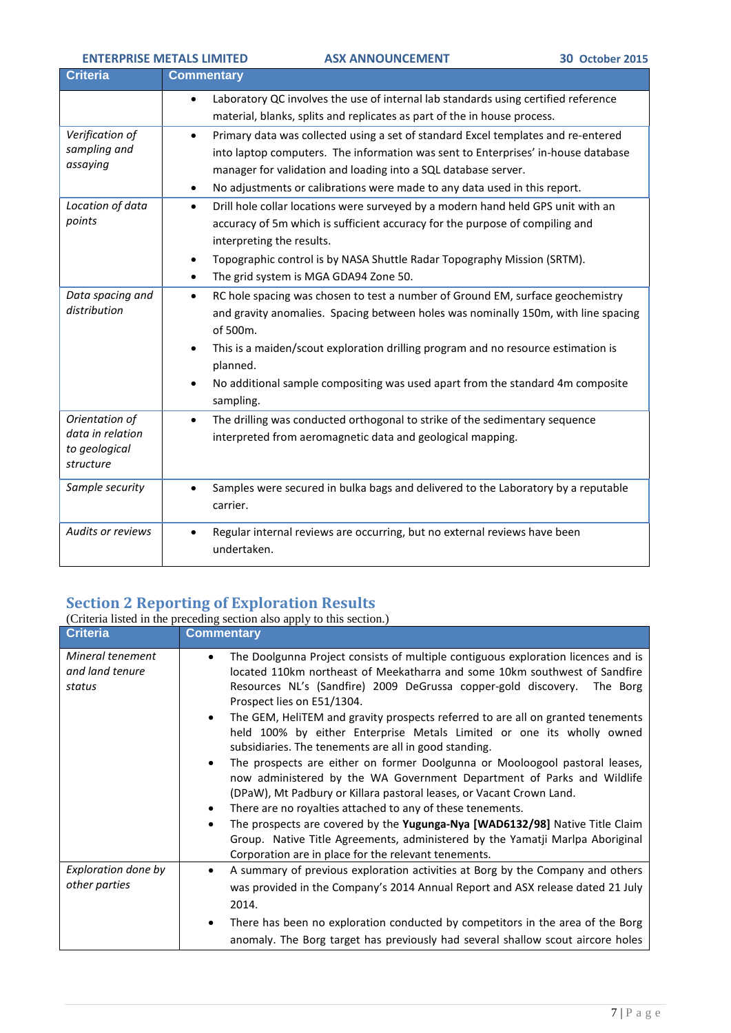ENTERPRISE METALS LIMITED **ASX ANNOUNCEMENT** 30 October 2015

| <b>Criteria</b>                                                  | <b>Commentary</b>                                                                                                                                                                                                                                                                                                                                                                                                       |
|------------------------------------------------------------------|-------------------------------------------------------------------------------------------------------------------------------------------------------------------------------------------------------------------------------------------------------------------------------------------------------------------------------------------------------------------------------------------------------------------------|
|                                                                  | Laboratory QC involves the use of internal lab standards using certified reference<br>$\bullet$<br>material, blanks, splits and replicates as part of the in house process.                                                                                                                                                                                                                                             |
| Verification of<br>sampling and<br>assaying                      | Primary data was collected using a set of standard Excel templates and re-entered<br>$\bullet$<br>into laptop computers. The information was sent to Enterprises' in-house database<br>manager for validation and loading into a SQL database server.<br>No adjustments or calibrations were made to any data used in this report.<br>$\bullet$                                                                         |
| Location of data<br>points                                       | Drill hole collar locations were surveyed by a modern hand held GPS unit with an<br>$\bullet$<br>accuracy of 5m which is sufficient accuracy for the purpose of compiling and<br>interpreting the results.<br>Topographic control is by NASA Shuttle Radar Topography Mission (SRTM).<br>$\bullet$<br>The grid system is MGA GDA94 Zone 50.<br>$\bullet$                                                                |
| Data spacing and<br>distribution                                 | RC hole spacing was chosen to test a number of Ground EM, surface geochemistry<br>$\bullet$<br>and gravity anomalies. Spacing between holes was nominally 150m, with line spacing<br>of 500m.<br>This is a maiden/scout exploration drilling program and no resource estimation is<br>$\bullet$<br>planned.<br>No additional sample compositing was used apart from the standard 4m composite<br>$\bullet$<br>sampling. |
| Orientation of<br>data in relation<br>to geological<br>structure | The drilling was conducted orthogonal to strike of the sedimentary sequence<br>$\bullet$<br>interpreted from aeromagnetic data and geological mapping.                                                                                                                                                                                                                                                                  |
| Sample security                                                  | Samples were secured in bulka bags and delivered to the Laboratory by a reputable<br>$\bullet$<br>carrier.                                                                                                                                                                                                                                                                                                              |
| <b>Audits or reviews</b>                                         | Regular internal reviews are occurring, but no external reviews have been<br>$\bullet$<br>undertaken.                                                                                                                                                                                                                                                                                                                   |

## **Section 2 Reporting of Exploration Results**

|                                               | (Criteria listed in the preceding section also apply to this section.)                                                                                                                                                                                                                                                                                                                                                                                                                                                                                                                                                                                                                                                                                                                                                                                                                                                                                                                                                                |
|-----------------------------------------------|---------------------------------------------------------------------------------------------------------------------------------------------------------------------------------------------------------------------------------------------------------------------------------------------------------------------------------------------------------------------------------------------------------------------------------------------------------------------------------------------------------------------------------------------------------------------------------------------------------------------------------------------------------------------------------------------------------------------------------------------------------------------------------------------------------------------------------------------------------------------------------------------------------------------------------------------------------------------------------------------------------------------------------------|
| <b>Criteria</b>                               | <b>Commentary</b>                                                                                                                                                                                                                                                                                                                                                                                                                                                                                                                                                                                                                                                                                                                                                                                                                                                                                                                                                                                                                     |
| Mineral tenement<br>and land tenure<br>status | The Doolgunna Project consists of multiple contiguous exploration licences and is<br>located 110km northeast of Meekatharra and some 10km southwest of Sandfire<br>Resources NL's (Sandfire) 2009 DeGrussa copper-gold discovery.<br>The Borg<br>Prospect lies on E51/1304.<br>The GEM, HeliTEM and gravity prospects referred to are all on granted tenements<br>$\bullet$<br>held 100% by either Enterprise Metals Limited or one its wholly owned<br>subsidiaries. The tenements are all in good standing.<br>The prospects are either on former Doolgunna or Mooloogool pastoral leases,<br>now administered by the WA Government Department of Parks and Wildlife<br>(DPaW), Mt Padbury or Killara pastoral leases, or Vacant Crown Land.<br>There are no royalties attached to any of these tenements.<br>The prospects are covered by the Yugunga-Nya [WAD6132/98] Native Title Claim<br>Group. Native Title Agreements, administered by the Yamatji Marlpa Aboriginal<br>Corporation are in place for the relevant tenements. |
| Exploration done by<br>other parties          | A summary of previous exploration activities at Borg by the Company and others<br>was provided in the Company's 2014 Annual Report and ASX release dated 21 July<br>2014.                                                                                                                                                                                                                                                                                                                                                                                                                                                                                                                                                                                                                                                                                                                                                                                                                                                             |
|                                               | There has been no exploration conducted by competitors in the area of the Borg<br>$\bullet$<br>anomaly. The Borg target has previously had several shallow scout aircore holes                                                                                                                                                                                                                                                                                                                                                                                                                                                                                                                                                                                                                                                                                                                                                                                                                                                        |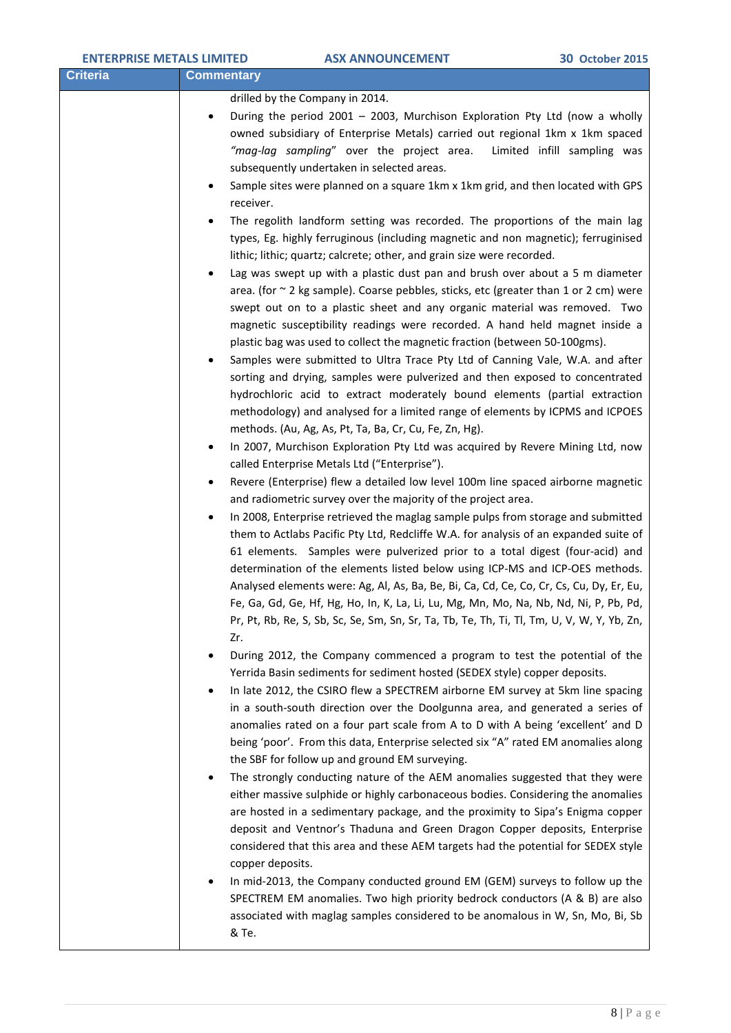| <b>ENTERPRISE METALS LIMITED</b> |                                                                                                                                                                                      | <b>ASX ANNOUNCEMENT</b>                                                                                                                                                                                                                                                                                                                                                                                                                                                                                                                                                                                                                                                                                                                                                                                                                                                                                                                                                                                                                                                                                                                                                                                                                                                                                                                                                                                                                                                                                                                                                                                                                                                                                                                                                                                                                                                                                                                                                                                                                                                                                                                                                                                                                                                                                                                                                                                                                                                                                                                                                                                                                                                                                                                                                                                                                                                                                                                                                                                                                                                                                                                                                                                                                                                                                                                                                                                                                                                                                                                                                                           | <b>30 October 2015</b>      |
|----------------------------------|--------------------------------------------------------------------------------------------------------------------------------------------------------------------------------------|---------------------------------------------------------------------------------------------------------------------------------------------------------------------------------------------------------------------------------------------------------------------------------------------------------------------------------------------------------------------------------------------------------------------------------------------------------------------------------------------------------------------------------------------------------------------------------------------------------------------------------------------------------------------------------------------------------------------------------------------------------------------------------------------------------------------------------------------------------------------------------------------------------------------------------------------------------------------------------------------------------------------------------------------------------------------------------------------------------------------------------------------------------------------------------------------------------------------------------------------------------------------------------------------------------------------------------------------------------------------------------------------------------------------------------------------------------------------------------------------------------------------------------------------------------------------------------------------------------------------------------------------------------------------------------------------------------------------------------------------------------------------------------------------------------------------------------------------------------------------------------------------------------------------------------------------------------------------------------------------------------------------------------------------------------------------------------------------------------------------------------------------------------------------------------------------------------------------------------------------------------------------------------------------------------------------------------------------------------------------------------------------------------------------------------------------------------------------------------------------------------------------------------------------------------------------------------------------------------------------------------------------------------------------------------------------------------------------------------------------------------------------------------------------------------------------------------------------------------------------------------------------------------------------------------------------------------------------------------------------------------------------------------------------------------------------------------------------------------------------------------------------------------------------------------------------------------------------------------------------------------------------------------------------------------------------------------------------------------------------------------------------------------------------------------------------------------------------------------------------------------------------------------------------------------------------------------------------------|-----------------------------|
| <b>Criteria</b>                  | <b>Commentary</b>                                                                                                                                                                    |                                                                                                                                                                                                                                                                                                                                                                                                                                                                                                                                                                                                                                                                                                                                                                                                                                                                                                                                                                                                                                                                                                                                                                                                                                                                                                                                                                                                                                                                                                                                                                                                                                                                                                                                                                                                                                                                                                                                                                                                                                                                                                                                                                                                                                                                                                                                                                                                                                                                                                                                                                                                                                                                                                                                                                                                                                                                                                                                                                                                                                                                                                                                                                                                                                                                                                                                                                                                                                                                                                                                                                                                   |                             |
|                                  | $\bullet$<br>$\bullet$<br>receiver.<br>$\bullet$<br>$\bullet$<br>٠<br>$\bullet$<br>$\bullet$<br>$\bullet$<br>Zr.<br>$\bullet$<br>$\bullet$<br>$\bullet$<br>copper deposits.<br>& Te. | drilled by the Company in 2014.<br>During the period 2001 - 2003, Murchison Exploration Pty Ltd (now a wholly<br>owned subsidiary of Enterprise Metals) carried out regional 1km x 1km spaced<br>"mag-lag sampling" over the project area.<br>subsequently undertaken in selected areas.<br>Sample sites were planned on a square 1km x 1km grid, and then located with GPS<br>The regolith landform setting was recorded. The proportions of the main lag<br>types, Eg. highly ferruginous (including magnetic and non magnetic); ferruginised<br>lithic; lithic; quartz; calcrete; other, and grain size were recorded.<br>Lag was swept up with a plastic dust pan and brush over about a 5 m diameter<br>area. (for $\sim$ 2 kg sample). Coarse pebbles, sticks, etc (greater than 1 or 2 cm) were<br>swept out on to a plastic sheet and any organic material was removed. Two<br>magnetic susceptibility readings were recorded. A hand held magnet inside a<br>plastic bag was used to collect the magnetic fraction (between 50-100gms).<br>Samples were submitted to Ultra Trace Pty Ltd of Canning Vale, W.A. and after<br>sorting and drying, samples were pulverized and then exposed to concentrated<br>hydrochloric acid to extract moderately bound elements (partial extraction<br>methodology) and analysed for a limited range of elements by ICPMS and ICPOES<br>methods. (Au, Ag, As, Pt, Ta, Ba, Cr, Cu, Fe, Zn, Hg).<br>In 2007, Murchison Exploration Pty Ltd was acquired by Revere Mining Ltd, now<br>called Enterprise Metals Ltd ("Enterprise").<br>Revere (Enterprise) flew a detailed low level 100m line spaced airborne magnetic<br>and radiometric survey over the majority of the project area.<br>In 2008, Enterprise retrieved the maglag sample pulps from storage and submitted<br>them to Actlabs Pacific Pty Ltd, Redcliffe W.A. for analysis of an expanded suite of<br>61 elements. Samples were pulverized prior to a total digest (four-acid) and<br>determination of the elements listed below using ICP-MS and ICP-OES methods.<br>Analysed elements were: Ag, Al, As, Ba, Be, Bi, Ca, Cd, Ce, Co, Cr, Cs, Cu, Dy, Er, Eu,<br>Fe, Ga, Gd, Ge, Hf, Hg, Ho, In, K, La, Li, Lu, Mg, Mn, Mo, Na, Nb, Nd, Ni, P, Pb, Pd,<br>Pr, Pt, Rb, Re, S, Sb, Sc, Se, Sm, Sn, Sr, Ta, Tb, Te, Th, Ti, Tl, Tm, U, V, W, Y, Yb, Zn,<br>During 2012, the Company commenced a program to test the potential of the<br>Yerrida Basin sediments for sediment hosted (SEDEX style) copper deposits.<br>In late 2012, the CSIRO flew a SPECTREM airborne EM survey at 5km line spacing<br>in a south-south direction over the Doolgunna area, and generated a series of<br>anomalies rated on a four part scale from A to D with A being 'excellent' and D<br>being 'poor'. From this data, Enterprise selected six "A" rated EM anomalies along<br>the SBF for follow up and ground EM surveying.<br>The strongly conducting nature of the AEM anomalies suggested that they were<br>either massive sulphide or highly carbonaceous bodies. Considering the anomalies<br>are hosted in a sedimentary package, and the proximity to Sipa's Enigma copper<br>deposit and Ventnor's Thaduna and Green Dragon Copper deposits, Enterprise<br>considered that this area and these AEM targets had the potential for SEDEX style<br>In mid-2013, the Company conducted ground EM (GEM) surveys to follow up the<br>SPECTREM EM anomalies. Two high priority bedrock conductors (A & B) are also<br>associated with maglag samples considered to be anomalous in W, Sn, Mo, Bi, Sb | Limited infill sampling was |